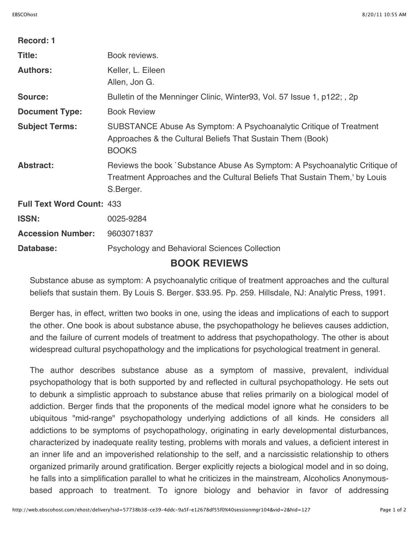| Record: 1                        |                                                                                                                                                                       |
|----------------------------------|-----------------------------------------------------------------------------------------------------------------------------------------------------------------------|
| Title:                           | Book reviews.                                                                                                                                                         |
| <b>Authors:</b>                  | Keller, L. Eileen<br>Allen, Jon G.                                                                                                                                    |
| Source:                          | Bulletin of the Menninger Clinic, Winter93, Vol. 57 Issue 1, p122; , 2p                                                                                               |
| <b>Document Type:</b>            | <b>Book Review</b>                                                                                                                                                    |
| <b>Subject Terms:</b>            | SUBSTANCE Abuse As Symptom: A Psychoanalytic Critique of Treatment<br>Approaches & the Cultural Beliefs That Sustain Them (Book)<br><b>BOOKS</b>                      |
| <b>Abstract:</b>                 | Reviews the book `Substance Abuse As Symptom: A Psychoanalytic Critique of<br>Treatment Approaches and the Cultural Beliefs That Sustain Them,' by Louis<br>S.Berger. |
| <b>Full Text Word Count: 433</b> |                                                                                                                                                                       |
| <b>ISSN:</b>                     | 0025-9284                                                                                                                                                             |
| <b>Accession Number:</b>         | 9603071837                                                                                                                                                            |
| Database:                        | <b>Psychology and Behavioral Sciences Collection</b>                                                                                                                  |
| <b>BOOK REVIEWS</b>              |                                                                                                                                                                       |

Substance abuse as symptom: A psychoanalytic critique of treatment approaches and the cultural beliefs that sustain them. By Louis S. Berger. \$33.95. Pp. 259. Hillsdale, NJ: Analytic Press, 1991.

Berger has, in effect, written two books in one, using the ideas and implications of each to support the other. One book is about substance abuse, the psychopathology he believes causes addiction, and the failure of current models of treatment to address that psychopathology. The other is about widespread cultural psychopathology and the implications for psychological treatment in general.

The author describes substance abuse as a symptom of massive, prevalent, individual psychopathology that is both supported by and reflected in cultural psychopathology. He sets out to debunk a simplistic approach to substance abuse that relies primarily on a biological model of addiction. Berger finds that the proponents of the medical model ignore what he considers to be ubiquitous "mid-range" psychopathology underlying addictions of all kinds. He considers all addictions to be symptoms of psychopathology, originating in early developmental disturbances, characterized by inadequate reality testing, problems with morals and values, a deficient interest in an inner life and an impoverished relationship to the self, and a narcissistic relationship to others organized primarily around gratification. Berger explicitly rejects a biological model and in so doing, he falls into a simplification parallel to what he criticizes in the mainstream, Alcoholics Anonymousbased approach to treatment. To ignore biology and behavior in favor of addressing